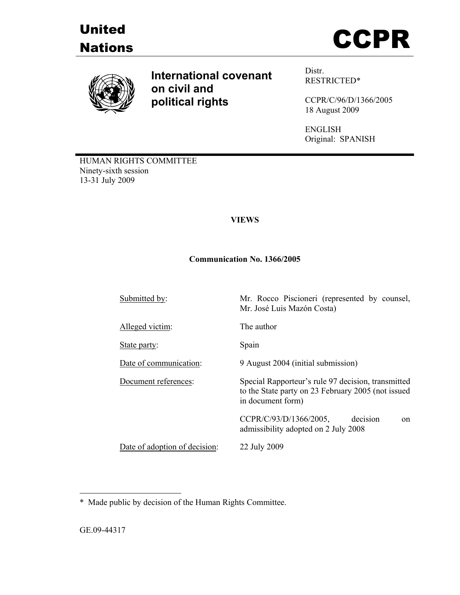





**International covenant on civil and political rights**

Distr. RESTRICTED\*

CCPR/C/96/D/1366/2005 18 August 2009

ENGLISH Original: SPANISH

HUMAN RIGHTS COMMITTEE Ninety-sixth session 13-31 July 2009

## **VIEWS**

## **Communication No. 1366/2005**

Submitted by: Mr. Rocco Piscioneri (represented by counsel, Mr. José Luis Mazón Costa) Alleged victim: The author State party: Spain Date of communication: 9 August 2004 (initial submission) Document references: Special Rapporteur's rule 97 decision, transmitted to the State party on 23 February 2005 (not issued in document form) CCPR/C/93/D/1366/2005, decision on admissibility adopted on 2 July 2008 Date of adoption of decision: 22 July 2009

\* Made public by decision of the Human Rights Committee.

 $\overline{a}$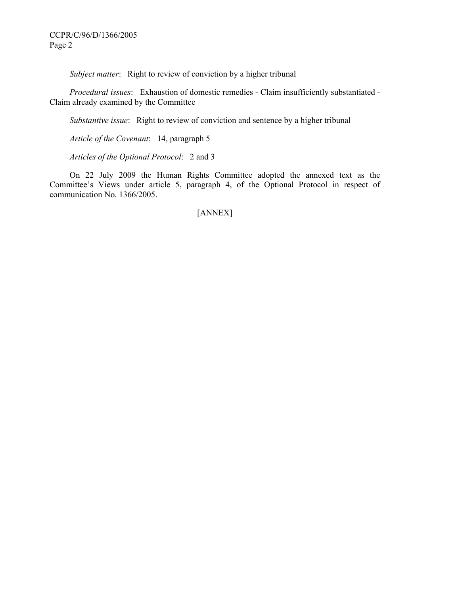*Subject matter*: Right to review of conviction by a higher tribunal

 *Procedural issues*: Exhaustion of domestic remedies - Claim insufficiently substantiated - Claim already examined by the Committee

 *Substantive issue*: Right to review of conviction and sentence by a higher tribunal

 *Article of the Covenant*: 14, paragraph 5

 *Articles of the Optional Protocol*: 2 and 3

On 22 July 2009 the Human Rights Committee adopted the annexed text as the Committee's Views under article 5, paragraph 4, of the Optional Protocol in respect of communication No. 1366/2005.

[ANNEX]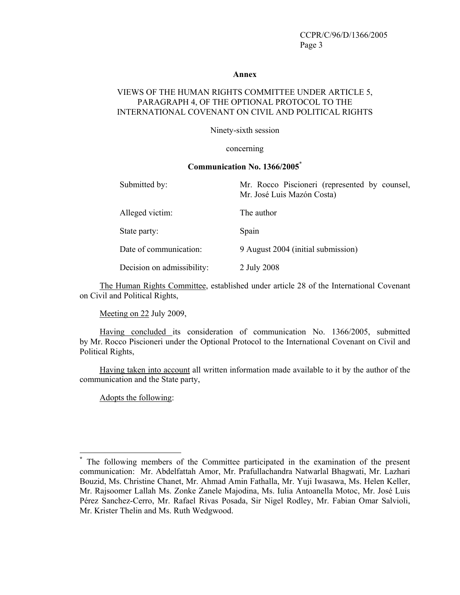#### **Annex**

## VIEWS OF THE HUMAN RIGHTS COMMITTEE UNDER ARTICLE 5, PARAGRAPH 4, OF THE OPTIONAL PROTOCOL TO THE INTERNATIONAL COVENANT ON CIVIL AND POLITICAL RIGHTS

Ninety-sixth session

#### concerning

#### **Communication No. 1366/2005**\*

| Submitted by:              | Mr. Rocco Piscioneri (represented by counsel,<br>Mr. José Luis Mazón Costa) |
|----------------------------|-----------------------------------------------------------------------------|
| Alleged victim:            | The author                                                                  |
| State party:               | Spain                                                                       |
| Date of communication:     | 9 August 2004 (initial submission)                                          |
| Decision on admissibility: | 2 July 2008                                                                 |

The Human Rights Committee, established under article 28 of the International Covenant on Civil and Political Rights,

Meeting on 22 July 2009,

 Having concluded its consideration of communication No. 1366/2005, submitted by Mr. Rocco Piscioneri under the Optional Protocol to the International Covenant on Civil and Political Rights,

 Having taken into account all written information made available to it by the author of the communication and the State party,

Adopts the following:

 $\overline{a}$ 

**<sup>\*</sup>** The following members of the Committee participated in the examination of the present communication: Mr. Abdelfattah Amor, Mr. Prafullachandra Natwarlal Bhagwati, Mr. Lazhari Bouzid, Ms. Christine Chanet, Mr. Ahmad Amin Fathalla, Mr. Yuji Iwasawa, Ms. Helen Keller, Mr. Rajsoomer Lallah Ms. Zonke Zanele Majodina, Ms. Iulia Antoanella Motoc, Mr. José Luis Pérez Sanchez-Cerro, Mr. Rafael Rivas Posada, Sir Nigel Rodley, Mr. Fabian Omar Salvioli, Mr. Krister Thelin and Ms. Ruth Wedgwood.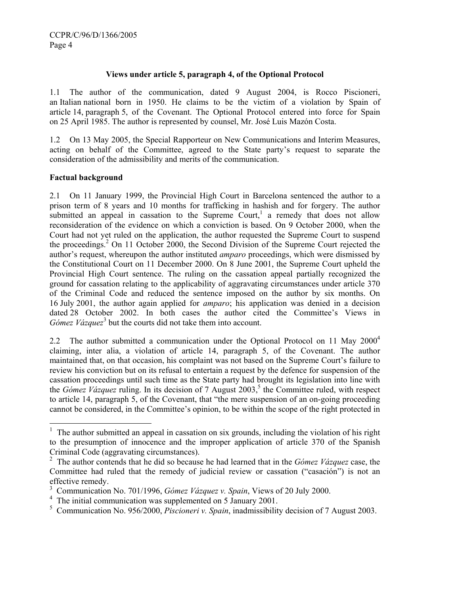## **Views under article 5, paragraph 4, of the Optional Protocol**

1.1 The author of the communication, dated 9 August 2004, is Rocco Piscioneri, an Italian national born in 1950. He claims to be the victim of a violation by Spain of article 14, paragraph 5, of the Covenant. The Optional Protocol entered into force for Spain on 25 April 1985. The author is represented by counsel, Mr. José Luis Mazón Costa.

1.2 On 13 May 2005, the Special Rapporteur on New Communications and Interim Measures, acting on behalf of the Committee, agreed to the State party's request to separate the consideration of the admissibility and merits of the communication.

## **Factual background**

2.1 On 11 January 1999, the Provincial High Court in Barcelona sentenced the author to a prison term of 8 years and 10 months for trafficking in hashish and for forgery. The author submitted an appeal in cassation to the Supreme Court,<sup>1</sup> a remedy that does not allow reconsideration of the evidence on which a conviction is based. On 9 October 2000, when the Court had not yet ruled on the application, the author requested the Supreme Court to suspend the proceedings.<sup>2</sup> On 11 October 2000, the Second Division of the Supreme Court rejected the author's request, whereupon the author instituted *amparo* proceedings, which were dismissed by the Constitutional Court on 11 December 2000. On 8 June 2001, the Supreme Court upheld the Provincial High Court sentence. The ruling on the cassation appeal partially recognized the ground for cassation relating to the applicability of aggravating circumstances under article 370 of the Criminal Code and reduced the sentence imposed on the author by six months. On 16 July 2001, the author again applied for *amparo*; his application was denied in a decision dated 28 October 2002. In both cases the author cited the Committee's Views in Gómez Vázquez<sup>3</sup> but the courts did not take them into account.

2.2 The author submitted a communication under the Optional Protocol on 11 May  $2000<sup>4</sup>$ claiming, inter alia, a violation of article 14, paragraph 5, of the Covenant. The author maintained that, on that occasion, his complaint was not based on the Supreme Court's failure to review his conviction but on its refusal to entertain a request by the defence for suspension of the cassation proceedings until such time as the State party had brought its legislation into line with the *Gómez Vázquez* ruling. In its decision of 7 August 2003,<sup>5</sup> the Committee ruled, with respect to article 14, paragraph 5, of the Covenant, that "the mere suspension of an on-going proceeding cannot be considered, in the Committee's opinion, to be within the scope of the right protected in

<sup>&</sup>lt;sup>1</sup> The author submitted an appeal in cassation on six grounds, including the violation of his right to the presumption of innocence and the improper application of article 370 of the Spanish Criminal Code (aggravating circumstances).

<sup>2</sup> The author contends that he did so because he had learned that in the *Gómez Vázquez* case, the Committee had ruled that the remedy of judicial review or cassation ("casación") is not an effective remedy.

<sup>3</sup> Communication No. 701/1996, *Gómez Vázquez v. Spain*, Views of 20 July 2000.

<sup>&</sup>lt;sup>4</sup> The initial communication was supplemented on 5 January 2001.

<sup>5</sup> Communication No. 956/2000, *Piscioneri v. Spain*, inadmissibility decision of 7 August 2003.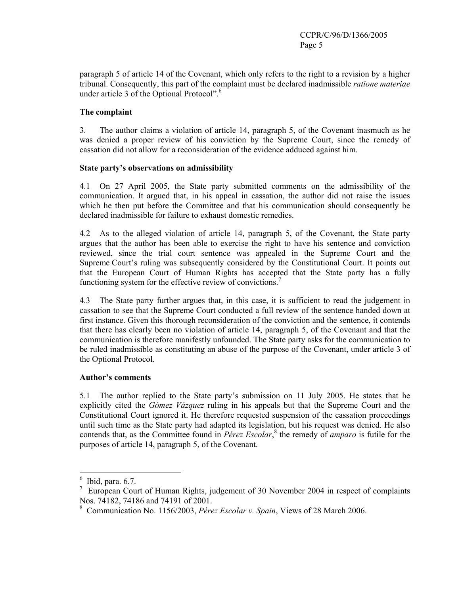paragraph 5 of article 14 of the Covenant, which only refers to the right to a revision by a higher tribunal. Consequently, this part of the complaint must be declared inadmissible *ratione materiae* under article 3 of the Optional Protocol".<sup>6</sup>

## **The complaint**

3. The author claims a violation of article 14, paragraph 5, of the Covenant inasmuch as he was denied a proper review of his conviction by the Supreme Court, since the remedy of cassation did not allow for a reconsideration of the evidence adduced against him.

## **State party's observations on admissibility**

4.1 On 27 April 2005, the State party submitted comments on the admissibility of the communication. It argued that, in his appeal in cassation, the author did not raise the issues which he then put before the Committee and that his communication should consequently be declared inadmissible for failure to exhaust domestic remedies.

4.2 As to the alleged violation of article 14, paragraph 5, of the Covenant, the State party argues that the author has been able to exercise the right to have his sentence and conviction reviewed, since the trial court sentence was appealed in the Supreme Court and the Supreme Court's ruling was subsequently considered by the Constitutional Court. It points out that the European Court of Human Rights has accepted that the State party has a fully functioning system for the effective review of convictions.<sup>7</sup>

4.3 The State party further argues that, in this case, it is sufficient to read the judgement in cassation to see that the Supreme Court conducted a full review of the sentence handed down at first instance. Given this thorough reconsideration of the conviction and the sentence, it contends that there has clearly been no violation of article 14, paragraph 5, of the Covenant and that the communication is therefore manifestly unfounded. The State party asks for the communication to be ruled inadmissible as constituting an abuse of the purpose of the Covenant, under article 3 of the Optional Protocol.

## **Author's comments**

5.1 The author replied to the State party's submission on 11 July 2005. He states that he explicitly cited the *Gómez Vázquez* ruling in his appeals but that the Supreme Court and the Constitutional Court ignored it. He therefore requested suspension of the cassation proceedings until such time as the State party had adapted its legislation, but his request was denied. He also contends that, as the Committee found in *Pérez Escolar*,<sup>8</sup> the remedy of *amparo* is futile for the purposes of article 14, paragraph 5, of the Covenant.

 $6$  Ibid, para. 6.7.

<sup>&</sup>lt;sup>7</sup> European Court of Human Rights, judgement of 30 November 2004 in respect of complaints Nos. 74182, 74186 and 74191 of 2001.

<sup>8</sup> Communication No. 1156/2003, *Pérez Escolar v. Spain*, Views of 28 March 2006.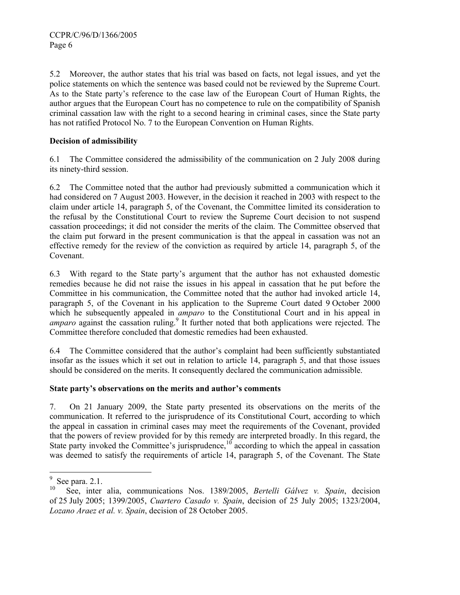5.2 Moreover, the author states that his trial was based on facts, not legal issues, and yet the police statements on which the sentence was based could not be reviewed by the Supreme Court. As to the State party's reference to the case law of the European Court of Human Rights, the author argues that the European Court has no competence to rule on the compatibility of Spanish criminal cassation law with the right to a second hearing in criminal cases, since the State party has not ratified Protocol No. 7 to the European Convention on Human Rights.

# **Decision of admissibility**

6.1 The Committee considered the admissibility of the communication on 2 July 2008 during its ninety-third session.

6.2 The Committee noted that the author had previously submitted a communication which it had considered on 7 August 2003. However, in the decision it reached in 2003 with respect to the claim under article 14, paragraph 5, of the Covenant, the Committee limited its consideration to the refusal by the Constitutional Court to review the Supreme Court decision to not suspend cassation proceedings; it did not consider the merits of the claim. The Committee observed that the claim put forward in the present communication is that the appeal in cassation was not an effective remedy for the review of the conviction as required by article 14, paragraph 5, of the Covenant.

6.3 With regard to the State party's argument that the author has not exhausted domestic remedies because he did not raise the issues in his appeal in cassation that he put before the Committee in his communication, the Committee noted that the author had invoked article 14, paragraph 5, of the Covenant in his application to the Supreme Court dated 9 October 2000 which he subsequently appealed in *amparo* to the Constitutional Court and in his appeal in amparo against the cassation ruling.<sup>9</sup> It further noted that both applications were rejected. The Committee therefore concluded that domestic remedies had been exhausted.

6.4 The Committee considered that the author's complaint had been sufficiently substantiated insofar as the issues which it set out in relation to article 14, paragraph 5, and that those issues should be considered on the merits. It consequently declared the communication admissible.

# **State party's observations on the merits and author's comments**

7. On 21 January 2009, the State party presented its observations on the merits of the communication. It referred to the jurisprudence of its Constitutional Court, according to which the appeal in cassation in criminal cases may meet the requirements of the Covenant, provided that the powers of review provided for by this remedy are interpreted broadly. In this regard, the State party invoked the Committee's jurisprudence, $\frac{10}{10}$  according to which the appeal in cassation was deemed to satisfy the requirements of article 14, paragraph 5, of the Covenant. The State

 $9 \text{ See } \text{para. } 2.1.$ 

<sup>10</sup> See, inter alia, communications Nos. 1389/2005, *Bertelli Gálvez v. Spain*, decision of 25 July 2005; 1399/2005, *Cuartero Casado v. Spain*, decision of 25 July 2005; 1323/2004, *Lozano Araez et al. v. Spain*, decision of 28 October 2005.